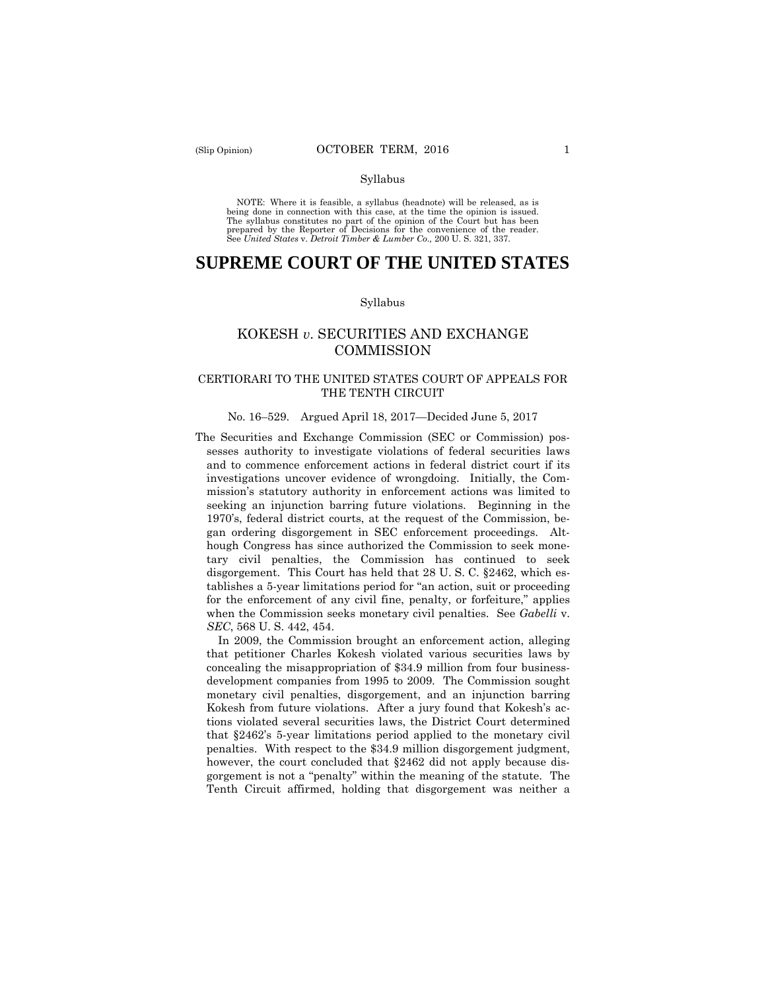#### Syllabus

 NOTE: Where it is feasible, a syllabus (headnote) will be released, as is being done in connection with this case, at the time the opinion is issued. The syllabus constitutes no part of the opinion of the Court but has been<br>prepared by the Reporter of Decisions for the convenience of the reader.<br>See United States v. Detroit Timber & Lumber Co., 200 U.S. 321, 337.

# **SUPREME COURT OF THE UNITED STATES**

#### Syllabus

## KOKESH *v*. SECURITIES AND EXCHANGE **COMMISSION**

## CERTIORARI TO THE UNITED STATES COURT OF APPEALS FOR THE TENTH CIRCUIT

#### No. 16–529. Argued April 18, 2017—Decided June 5, 2017

The Securities and Exchange Commission (SEC or Commission) possesses authority to investigate violations of federal securities laws and to commence enforcement actions in federal district court if its investigations uncover evidence of wrongdoing. Initially, the Commission's statutory authority in enforcement actions was limited to seeking an injunction barring future violations. Beginning in the 1970's, federal district courts, at the request of the Commission, began ordering disgorgement in SEC enforcement proceedings. Although Congress has since authorized the Commission to seek monetary civil penalties, the Commission has continued to seek disgorgement. This Court has held that 28 U. S. C. §2462, which establishes a 5-year limitations period for "an action, suit or proceeding for the enforcement of any civil fine, penalty, or forfeiture," applies when the Commission seeks monetary civil penalties. See *Gabelli* v. *SEC*, 568 U. S. 442, 454.

 development companies from 1995 to 2009. The Commission sought In 2009, the Commission brought an enforcement action, alleging that petitioner Charles Kokesh violated various securities laws by concealing the misappropriation of \$34.9 million from four businessmonetary civil penalties, disgorgement, and an injunction barring Kokesh from future violations. After a jury found that Kokesh's actions violated several securities laws, the District Court determined that §2462's 5-year limitations period applied to the monetary civil penalties. With respect to the \$34.9 million disgorgement judgment, however, the court concluded that §2462 did not apply because disgorgement is not a "penalty" within the meaning of the statute. The Tenth Circuit affirmed, holding that disgorgement was neither a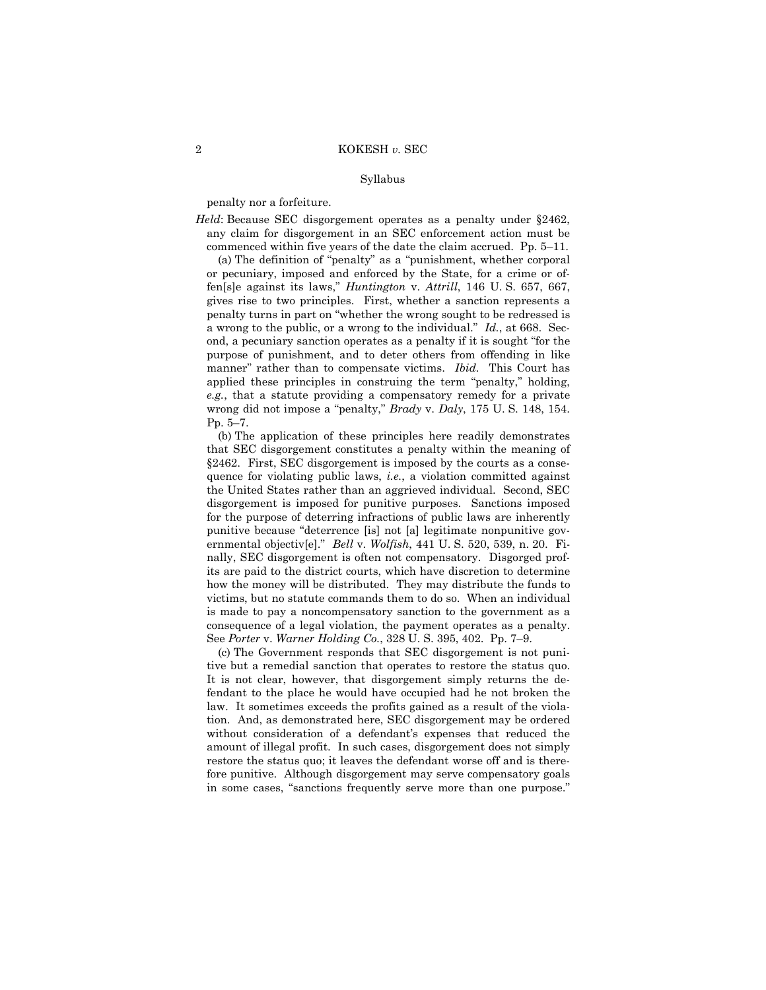#### Syllabus

penalty nor a forfeiture.

*Held*: Because SEC disgorgement operates as a penalty under §2462, any claim for disgorgement in an SEC enforcement action must be commenced within five years of the date the claim accrued. Pp. 5–11.

(a) The definition of "penalty" as a "punishment, whether corporal or pecuniary, imposed and enforced by the State, for a crime or offen[s]e against its laws," *Huntington* v. *Attrill*, 146 U. S. 657, 667, gives rise to two principles. First, whether a sanction represents a penalty turns in part on "whether the wrong sought to be redressed is a wrong to the public, or a wrong to the individual." *Id.*, at 668. Second, a pecuniary sanction operates as a penalty if it is sought "for the purpose of punishment, and to deter others from offending in like manner" rather than to compensate victims. *Ibid.* This Court has applied these principles in construing the term "penalty," holding, *e.g.*, that a statute providing a compensatory remedy for a private wrong did not impose a "penalty," *Brady* v. *Daly*, 175 U. S. 148, 154. Pp. 5–7.

(b) The application of these principles here readily demonstrates that SEC disgorgement constitutes a penalty within the meaning of §2462. First, SEC disgorgement is imposed by the courts as a consequence for violating public laws, *i.e.*, a violation committed against the United States rather than an aggrieved individual. Second, SEC disgorgement is imposed for punitive purposes. Sanctions imposed for the purpose of deterring infractions of public laws are inherently punitive because "deterrence [is] not [a] legitimate nonpunitive governmental objectiv[e]." *Bell* v. *Wolfish*, 441 U. S. 520, 539, n. 20. Finally, SEC disgorgement is often not compensatory. Disgorged profits are paid to the district courts, which have discretion to determine how the money will be distributed. They may distribute the funds to victims, but no statute commands them to do so. When an individual is made to pay a noncompensatory sanction to the government as a consequence of a legal violation, the payment operates as a penalty. See *Porter* v. *Warner Holding Co.*, 328 U. S. 395, 402. Pp. 7–9.

(c) The Government responds that SEC disgorgement is not punitive but a remedial sanction that operates to restore the status quo. It is not clear, however, that disgorgement simply returns the defendant to the place he would have occupied had he not broken the law. It sometimes exceeds the profits gained as a result of the violation. And, as demonstrated here, SEC disgorgement may be ordered without consideration of a defendant's expenses that reduced the amount of illegal profit. In such cases, disgorgement does not simply restore the status quo; it leaves the defendant worse off and is therefore punitive. Although disgorgement may serve compensatory goals in some cases, "sanctions frequently serve more than one purpose."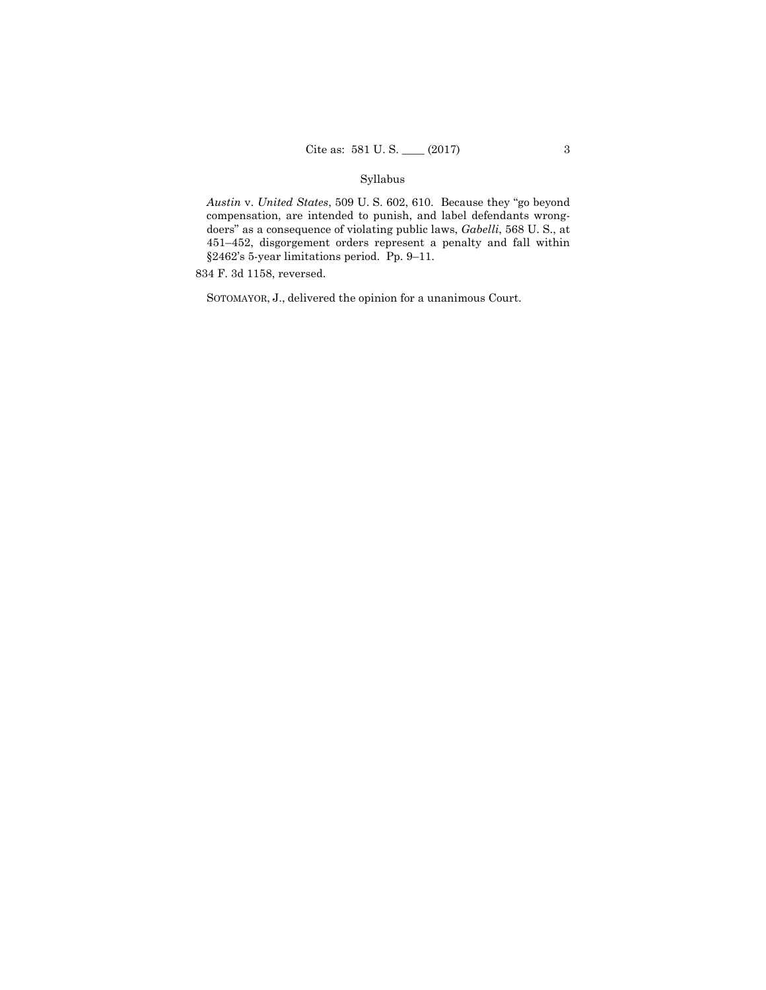## Syllabus

*Austin* v. *United States*, 509 U. S. 602, 610. Because they "go beyond compensation, are intended to punish, and label defendants wrongdoers" as a consequence of violating public laws, *Gabelli*, 568 U. S., at 451–452, disgorgement orders represent a penalty and fall within §2462's 5-year limitations period. Pp. 9–11.

834 F. 3d 1158, reversed.

SOTOMAYOR, J., delivered the opinion for a unanimous Court.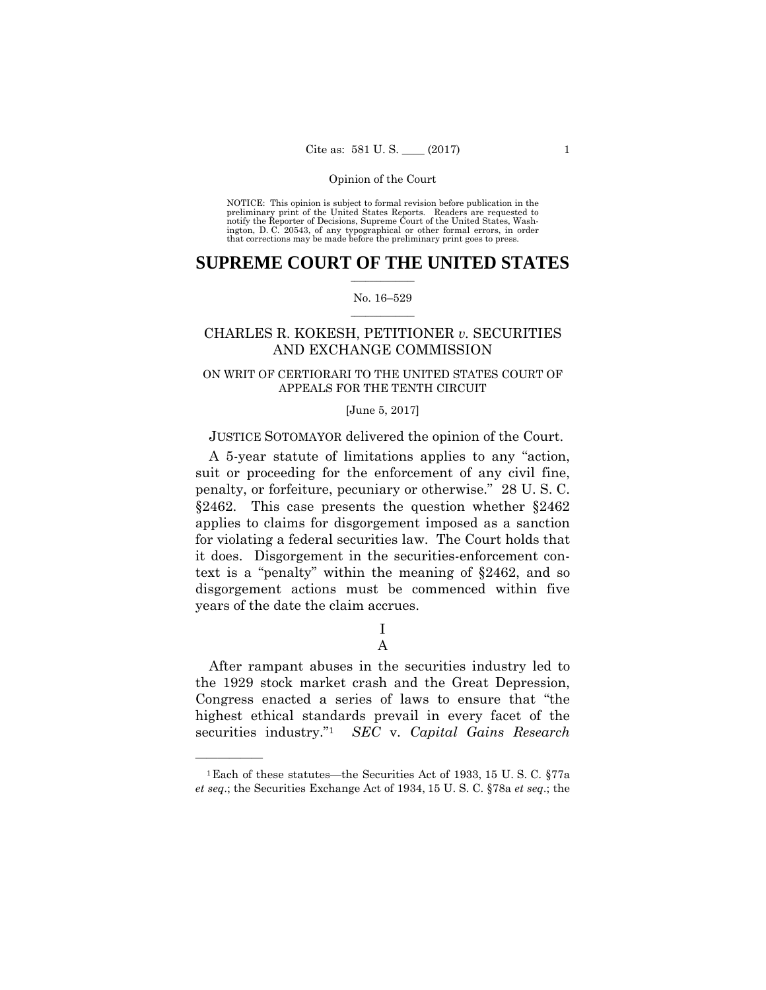preliminary print of the United States Reports. Readers are requested to notify the Reporter of Decisions, Supreme Court of the United States, Wash- ington, D. C. 20543, of any typographical or other formal errors, in order that corrections may be made before the preliminary print goes to press. NOTICE: This opinion is subject to formal revision before publication in the

### $\frac{1}{2}$  ,  $\frac{1}{2}$  ,  $\frac{1}{2}$  ,  $\frac{1}{2}$  ,  $\frac{1}{2}$  ,  $\frac{1}{2}$  ,  $\frac{1}{2}$ **SUPREME COURT OF THE UNITED STATES**

#### $\frac{1}{2}$  ,  $\frac{1}{2}$  ,  $\frac{1}{2}$  ,  $\frac{1}{2}$  ,  $\frac{1}{2}$  ,  $\frac{1}{2}$ No. 16–529

## CHARLES R. KOKESH, PETITIONER *v.* SECURITIES AND EXCHANGE COMMISSION

## ON WRIT OF CERTIORARI TO THE UNITED STATES COURT OF APPEALS FOR THE TENTH CIRCUIT

#### [June 5, 2017]

### JUSTICE SOTOMAYOR delivered the opinion of the Court.

A 5-year statute of limitations applies to any "action, suit or proceeding for the enforcement of any civil fine, penalty, or forfeiture, pecuniary or otherwise." 28 U. S. C. §2462. This case presents the question whether §2462 applies to claims for disgorgement imposed as a sanction for violating a federal securities law. The Court holds that it does. Disgorgement in the securities-enforcement context is a "penalty" within the meaning of §2462, and so disgorgement actions must be commenced within five years of the date the claim accrues.

## I A

 securities industry."1 *SEC* v. *Capital Gains Research*  After rampant abuses in the securities industry led to the 1929 stock market crash and the Great Depression, Congress enacted a series of laws to ensure that "the highest ethical standards prevail in every facet of the

——————

<sup>1</sup>Each of these statutes—the Securities Act of 1933, 15 U. S. C. §77a *et seq*.; the Securities Exchange Act of 1934, 15 U. S. C. §78a *et seq*.; the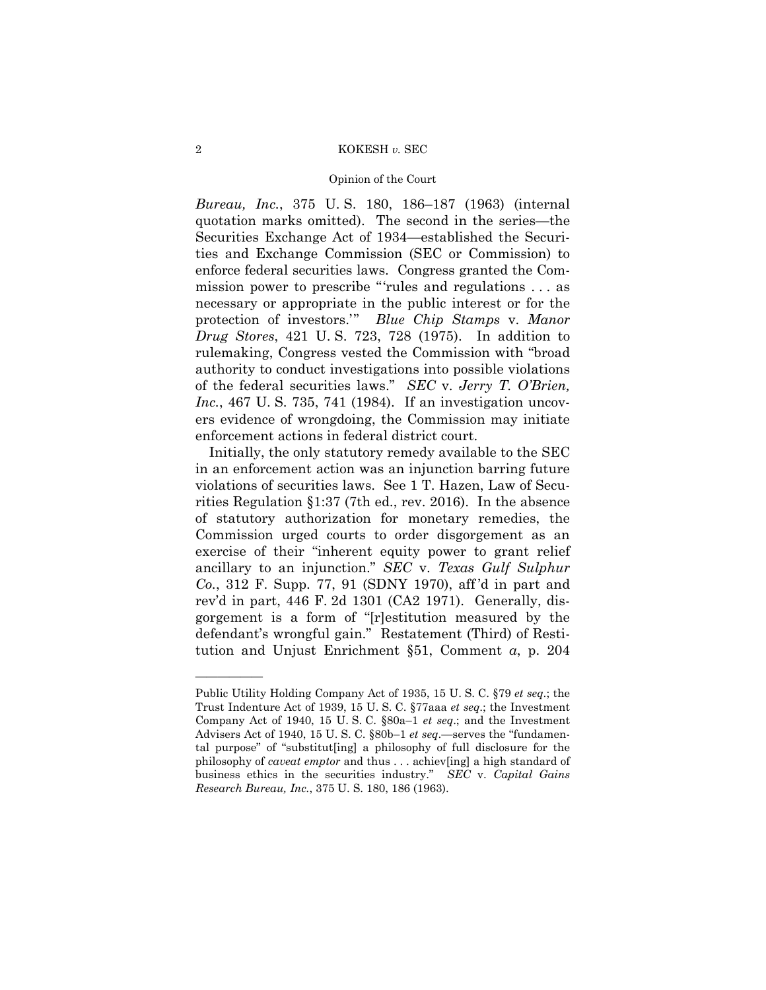#### Opinion of the Court

*Bureau, Inc.*, 375 U. S. 180, 186–187 (1963) (internal quotation marks omitted). The second in the series—the Securities Exchange Act of 1934—established the Securities and Exchange Commission (SEC or Commission) to enforce federal securities laws. Congress granted the Commission power to prescribe "'rules and regulations . . . as necessary or appropriate in the public interest or for the protection of investors.'" *Blue Chip Stamps* v. *Manor Drug Stores*, 421 U. S. 723, 728 (1975). In addition to rulemaking, Congress vested the Commission with "broad authority to conduct investigations into possible violations of the federal securities laws." *SEC* v. *Jerry T. O'Brien, Inc.*, 467 U. S. 735, 741 (1984). If an investigation uncovers evidence of wrongdoing, the Commission may initiate enforcement actions in federal district court.

Initially, the only statutory remedy available to the SEC in an enforcement action was an injunction barring future violations of securities laws. See 1 T. Hazen, Law of Securities Regulation §1:37 (7th ed., rev. 2016). In the absence of statutory authorization for monetary remedies, the Commission urged courts to order disgorgement as an exercise of their "inherent equity power to grant relief ancillary to an injunction." *SEC* v. *Texas Gulf Sulphur Co.*, 312 F. Supp. 77, 91 (SDNY 1970), aff 'd in part and rev'd in part, 446 F. 2d 1301 (CA2 1971). Generally, disgorgement is a form of "[r]estitution measured by the defendant's wrongful gain." Restatement (Third) of Restitution and Unjust Enrichment §51, Comment *a*, p. 204

——————

 business ethics in the securities industry." *SEC* v. *Capital Gains*  Public Utility Holding Company Act of 1935, 15 U. S. C. §79 *et seq*.; the Trust Indenture Act of 1939, 15 U. S. C. §77aaa *et seq*.; the Investment Company Act of 1940, 15 U. S. C. §80a–1 *et seq*.; and the Investment Advisers Act of 1940, 15 U. S. C. §80b–1 *et seq*.—serves the "fundamental purpose" of "substitut[ing] a philosophy of full disclosure for the philosophy of *caveat emptor* and thus . . . achiev[ing] a high standard of *Research Bureau, Inc.*, 375 U. S. 180, 186 (1963).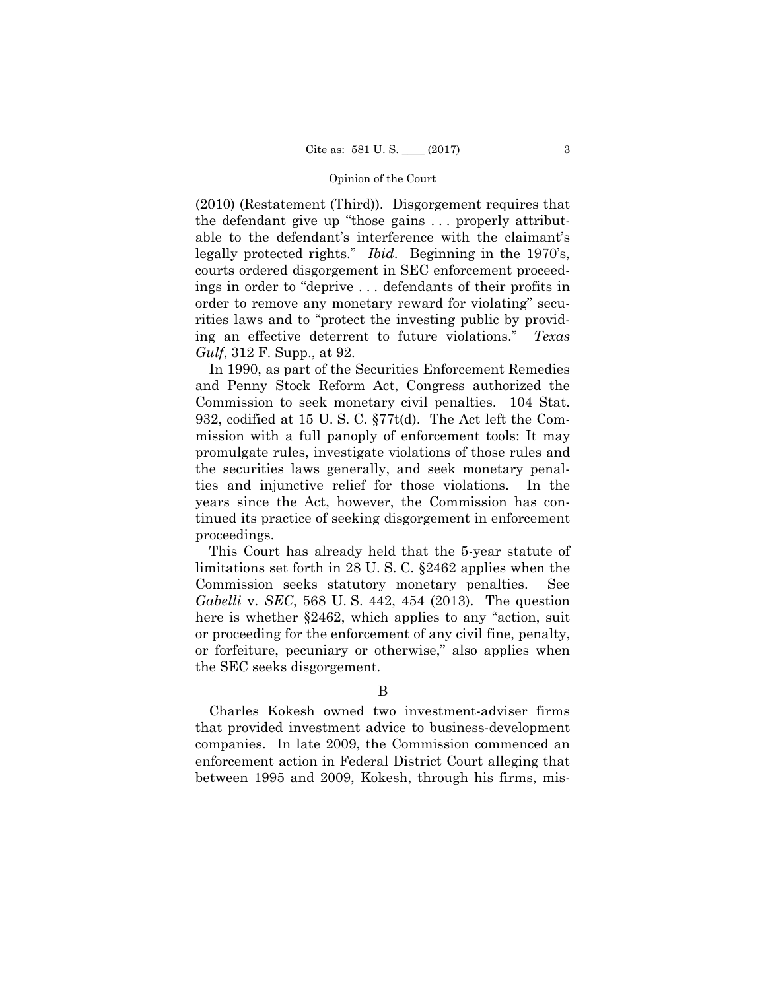(2010) (Restatement (Third)). Disgorgement requires that the defendant give up "those gains . . . properly attributable to the defendant's interference with the claimant's legally protected rights." *Ibid*. Beginning in the 1970's, courts ordered disgorgement in SEC enforcement proceedings in order to "deprive . . . defendants of their profits in order to remove any monetary reward for violating" securities laws and to "protect the investing public by providing an effective deterrent to future violations." *Texas Gulf*, 312 F. Supp., at 92.

In 1990, as part of the Securities Enforcement Remedies and Penny Stock Reform Act, Congress authorized the Commission to seek monetary civil penalties. 104 Stat. 932, codified at 15 U. S. C. §77t(d). The Act left the Commission with a full panoply of enforcement tools: It may promulgate rules, investigate violations of those rules and the securities laws generally, and seek monetary penalties and injunctive relief for those violations. In the years since the Act, however, the Commission has continued its practice of seeking disgorgement in enforcement proceedings.

This Court has already held that the 5-year statute of limitations set forth in 28 U. S. C. §2462 applies when the Commission seeks statutory monetary penalties. See *Gabelli* v. *SEC*, 568 U. S. 442, 454 (2013). The question here is whether §2462, which applies to any "action, suit or proceeding for the enforcement of any civil fine, penalty, or forfeiture, pecuniary or otherwise," also applies when the SEC seeks disgorgement.

#### B

Charles Kokesh owned two investment-adviser firms that provided investment advice to business-development companies. In late 2009, the Commission commenced an enforcement action in Federal District Court alleging that between 1995 and 2009, Kokesh, through his firms, mis-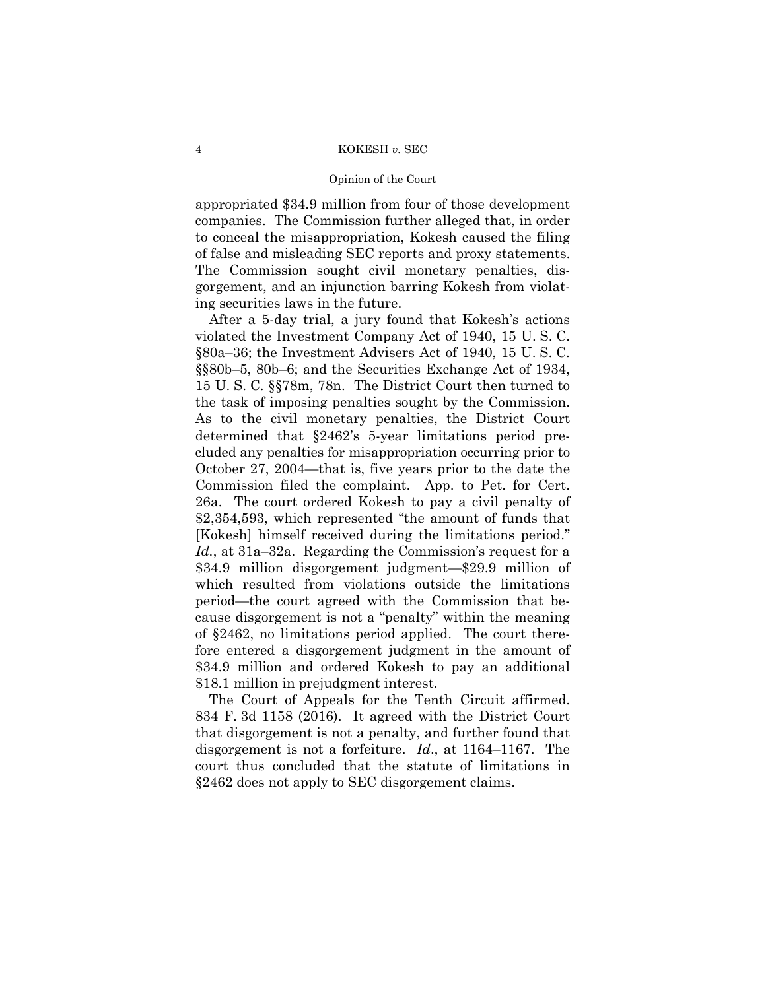#### Opinion of the Court

appropriated \$34.9 million from four of those development companies. The Commission further alleged that, in order to conceal the misappropriation, Kokesh caused the filing of false and misleading SEC reports and proxy statements. The Commission sought civil monetary penalties, disgorgement, and an injunction barring Kokesh from violating securities laws in the future.

 cluded any penalties for misappropriation occurring prior to After a 5-day trial, a jury found that Kokesh's actions violated the Investment Company Act of 1940, 15 U. S. C. §80a–36; the Investment Advisers Act of 1940, 15 U. S. C. §§80b–5, 80b–6; and the Securities Exchange Act of 1934, 15 U. S. C. §§78m, 78n. The District Court then turned to the task of imposing penalties sought by the Commission. As to the civil monetary penalties, the District Court determined that §2462's 5-year limitations period pre-October 27, 2004—that is, five years prior to the date the Commission filed the complaint. App. to Pet. for Cert. 26a. The court ordered Kokesh to pay a civil penalty of \$2,354,593, which represented "the amount of funds that [Kokesh] himself received during the limitations period." *Id.*, at 31a–32a. Regarding the Commission's request for a \$34.9 million disgorgement judgment—\$29.9 million of which resulted from violations outside the limitations period—the court agreed with the Commission that because disgorgement is not a "penalty" within the meaning of §2462, no limitations period applied. The court therefore entered a disgorgement judgment in the amount of \$34.9 million and ordered Kokesh to pay an additional \$18.1 million in prejudgment interest.

The Court of Appeals for the Tenth Circuit affirmed. 834 F. 3d 1158 (2016). It agreed with the District Court that disgorgement is not a penalty, and further found that disgorgement is not a forfeiture. *Id*., at 1164–1167. The court thus concluded that the statute of limitations in §2462 does not apply to SEC disgorgement claims.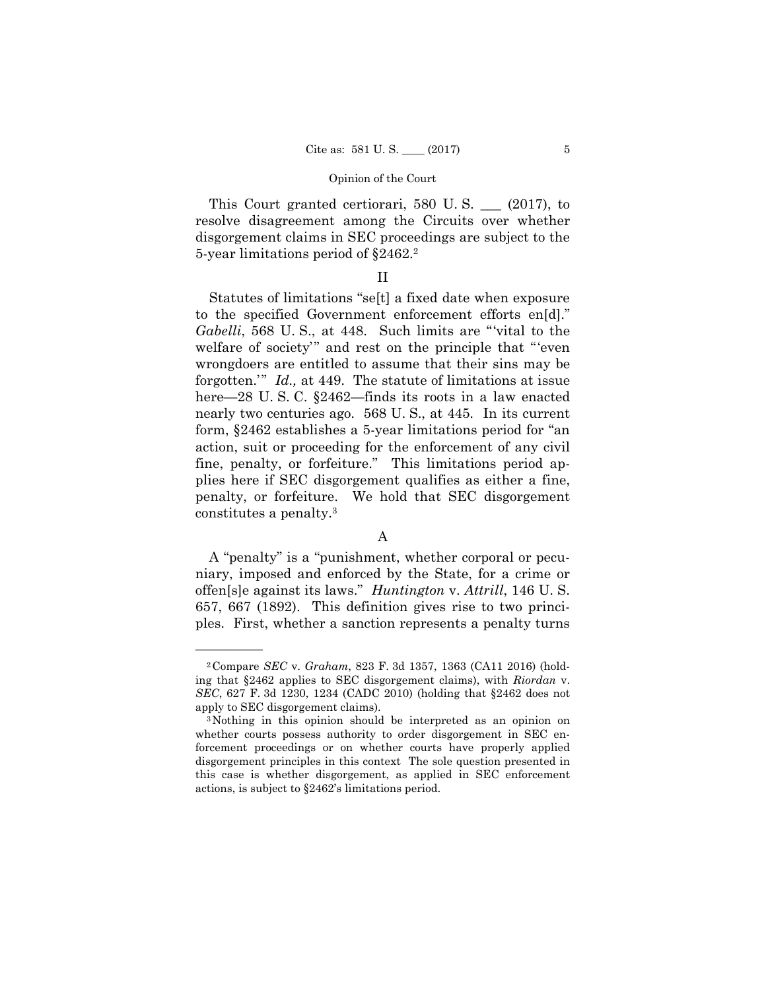This Court granted certiorari, 580 U. S. \_\_\_ (2017), to resolve disagreement among the Circuits over whether disgorgement claims in SEC proceedings are subject to the 5-year limitations period of §2462.2

### II

 nearly two centuries ago. 568 U. S., at 445. In its current Statutes of limitations "se[t] a fixed date when exposure to the specified Government enforcement efforts en[d]." *Gabelli*, 568 U. S., at 448. Such limits are "'vital to the welfare of society'" and rest on the principle that "'even wrongdoers are entitled to assume that their sins may be forgotten.'" *Id.,* at 449. The statute of limitations at issue here—28 U.S.C.  $\S2462$ —finds its roots in a law enacted form, §2462 establishes a 5-year limitations period for "an action, suit or proceeding for the enforcement of any civil fine, penalty, or forfeiture." This limitations period applies here if SEC disgorgement qualifies as either a fine, penalty, or forfeiture. We hold that SEC disgorgement constitutes a penalty.3

## A

A "penalty" is a "punishment, whether corporal or pecuniary, imposed and enforced by the State, for a crime or offen[s]e against its laws." *Huntington* v. *Attrill*, 146 U. S. 657, 667 (1892). This definition gives rise to two principles. First, whether a sanction represents a penalty turns

——————

<sup>2</sup>Compare *SEC* v. *Graham*, 823 F. 3d 1357, 1363 (CA11 2016) (holding that §2462 applies to SEC disgorgement claims), with *Riordan* v. *SEC*, 627 F. 3d 1230, 1234 (CADC 2010) (holding that §2462 does not apply to SEC disgorgement claims). 3Nothing in this opinion should be interpreted as an opinion on

whether courts possess authority to order disgorgement in SEC enforcement proceedings or on whether courts have properly applied disgorgement principles in this context The sole question presented in this case is whether disgorgement, as applied in SEC enforcement actions, is subject to §2462's limitations period.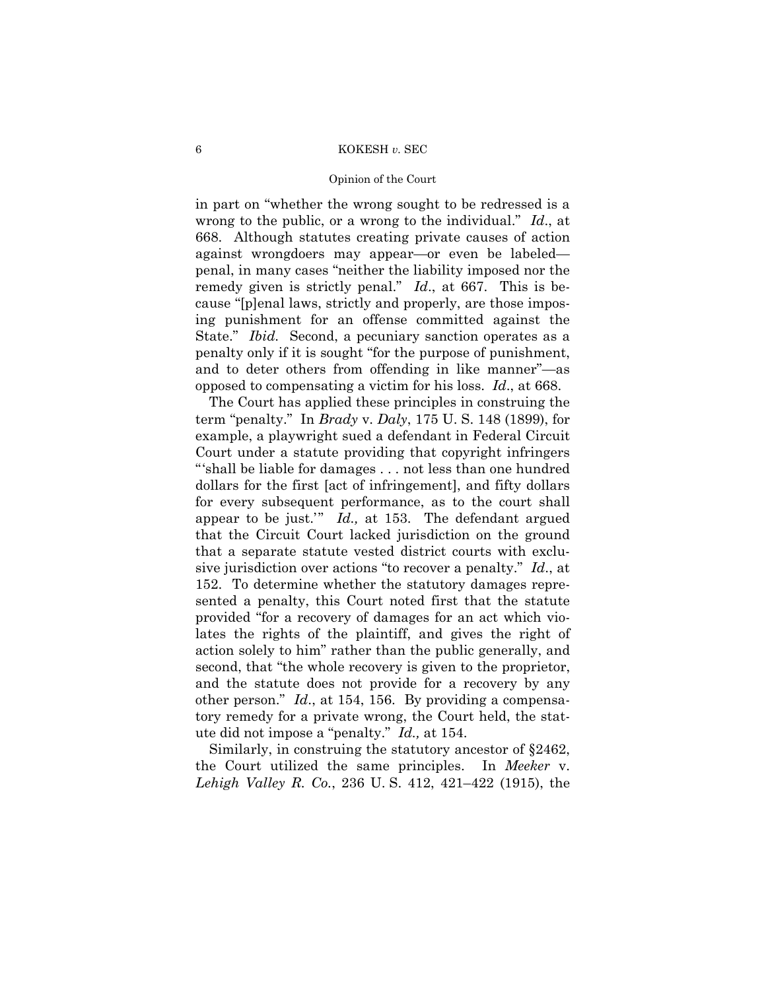#### Opinion of the Court

 opposed to compensating a victim for his loss. *Id*., at 668. in part on "whether the wrong sought to be redressed is a wrong to the public, or a wrong to the individual." *Id*., at 668. Although statutes creating private causes of action against wrongdoers may appear—or even be labeled penal, in many cases "neither the liability imposed nor the remedy given is strictly penal." *Id*., at 667. This is because "[p]enal laws, strictly and properly, are those imposing punishment for an offense committed against the State." *Ibid.* Second, a pecuniary sanction operates as a penalty only if it is sought "for the purpose of punishment, and to deter others from offending in like manner"—as

The Court has applied these principles in construing the term "penalty." In *Brady* v. *Daly*, 175 U. S. 148 (1899), for example, a playwright sued a defendant in Federal Circuit Court under a statute providing that copyright infringers "'shall be liable for damages . . . not less than one hundred dollars for the first [act of infringement], and fifty dollars for every subsequent performance, as to the court shall appear to be just.'" *Id.,* at 153. The defendant argued that the Circuit Court lacked jurisdiction on the ground that a separate statute vested district courts with exclusive jurisdiction over actions "to recover a penalty." *Id*., at 152. To determine whether the statutory damages represented a penalty, this Court noted first that the statute provided "for a recovery of damages for an act which violates the rights of the plaintiff, and gives the right of action solely to him" rather than the public generally, and second, that "the whole recovery is given to the proprietor, and the statute does not provide for a recovery by any other person." *Id*., at 154, 156. By providing a compensatory remedy for a private wrong, the Court held, the statute did not impose a "penalty." *Id.,* at 154.

Similarly, in construing the statutory ancestor of §2462, the Court utilized the same principles. In *Meeker* v. *Lehigh Valley R. Co.*, 236 U. S. 412, 421–422 (1915), the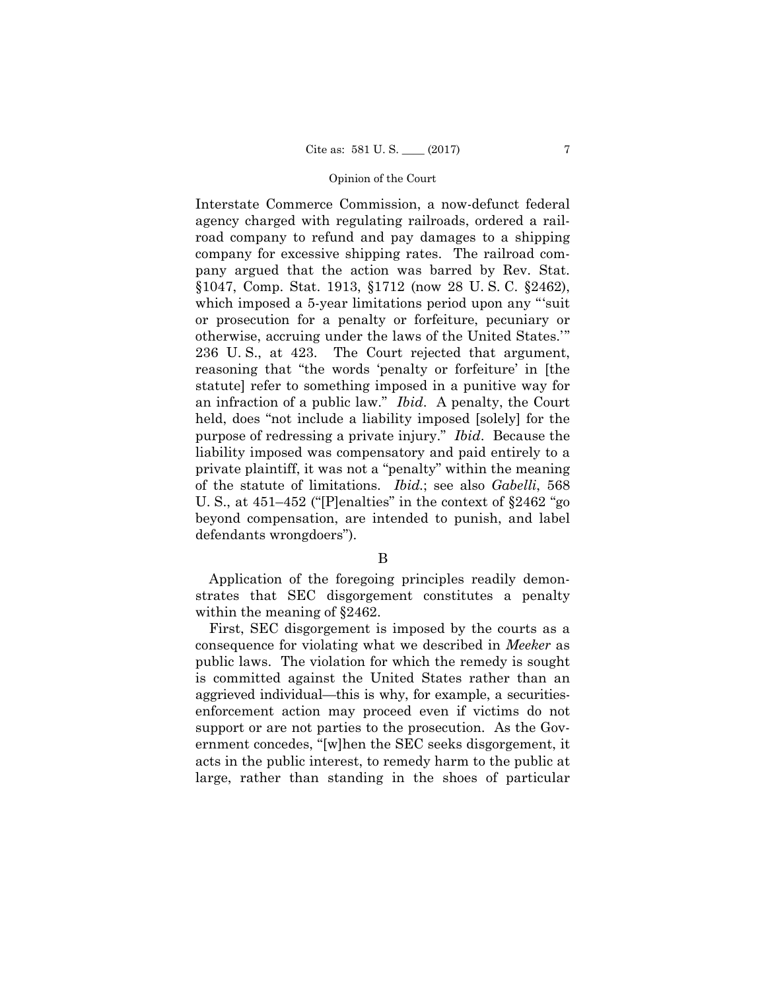Interstate Commerce Commission, a now-defunct federal agency charged with regulating railroads, ordered a railroad company to refund and pay damages to a shipping company for excessive shipping rates. The railroad company argued that the action was barred by Rev. Stat. §1047, Comp. Stat. 1913, §1712 (now 28 U. S. C. §2462), which imposed a 5-year limitations period upon any "'suit or prosecution for a penalty or forfeiture, pecuniary or otherwise, accruing under the laws of the United States.'" 236 U. S., at 423. The Court rejected that argument, reasoning that "the words 'penalty or forfeiture' in [the statute] refer to something imposed in a punitive way for an infraction of a public law." *Ibid*. A penalty, the Court held, does "not include a liability imposed [solely] for the purpose of redressing a private injury." *Ibid*. Because the liability imposed was compensatory and paid entirely to a private plaintiff, it was not a "penalty" within the meaning of the statute of limitations. *Ibid.*; see also *Gabelli*, 568 U. S., at 451–452 ("[P]enalties" in the context of §2462 "go beyond compensation, are intended to punish, and label defendants wrongdoers").

## B

Application of the foregoing principles readily demonstrates that SEC disgorgement constitutes a penalty within the meaning of §2462.

First, SEC disgorgement is imposed by the courts as a consequence for violating what we described in *Meeker* as public laws. The violation for which the remedy is sought is committed against the United States rather than an aggrieved individual—this is why, for example, a securitiesenforcement action may proceed even if victims do not support or are not parties to the prosecution. As the Government concedes, "[w]hen the SEC seeks disgorgement, it acts in the public interest, to remedy harm to the public at large, rather than standing in the shoes of particular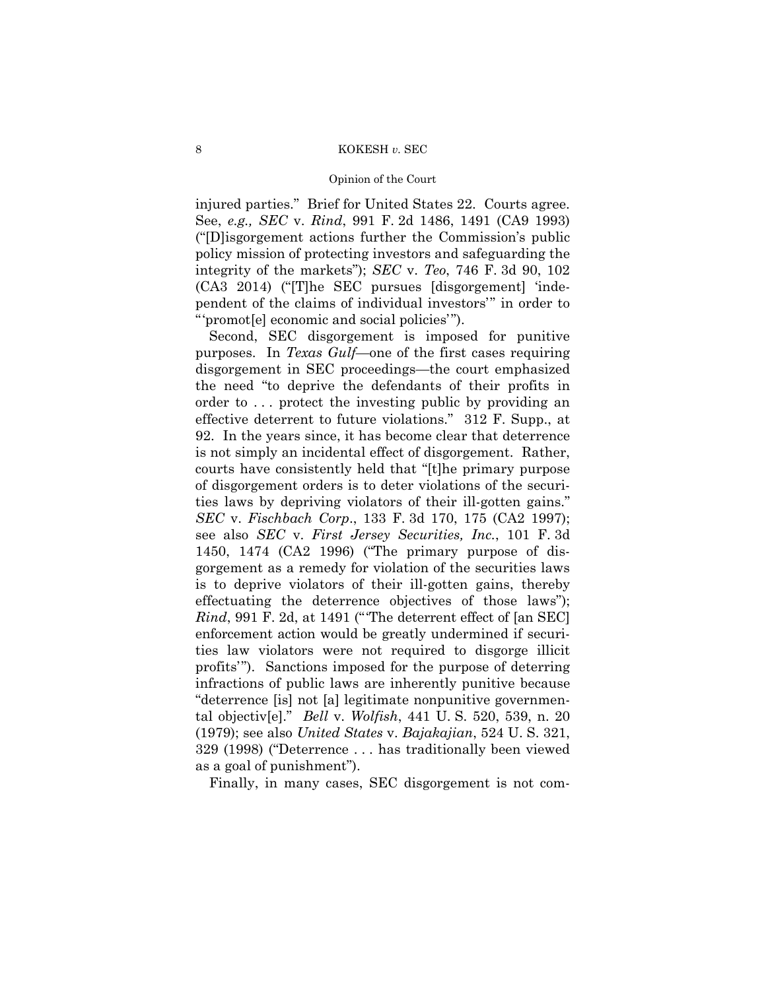#### Opinion of the Court

injured parties." Brief for United States 22. Courts agree. See, *e.g., SEC* v. *Rind*, 991 F. 2d 1486, 1491 (CA9 1993) ("[D]isgorgement actions further the Commission's public policy mission of protecting investors and safeguarding the integrity of the markets"); *SEC* v. *Teo*, 746 F. 3d 90, 102 (CA3 2014) ("[T]he SEC pursues [disgorgement] 'independent of the claims of individual investors'" in order to "'promot[e] economic and social policies'").

Second, SEC disgorgement is imposed for punitive purposes. In *Texas Gulf*—one of the first cases requiring disgorgement in SEC proceedings—the court emphasized the need "to deprive the defendants of their profits in order to . . . protect the investing public by providing an effective deterrent to future violations." 312 F. Supp., at 92. In the years since, it has become clear that deterrence is not simply an incidental effect of disgorgement. Rather, courts have consistently held that "[t]he primary purpose of disgorgement orders is to deter violations of the securities laws by depriving violators of their ill-gotten gains." *SEC* v. *Fischbach Corp*., 133 F. 3d 170, 175 (CA2 1997); see also *SEC* v. *First Jersey Securities, Inc.*, 101 F. 3d 1450, 1474 (CA2 1996) ("The primary purpose of disgorgement as a remedy for violation of the securities laws is to deprive violators of their ill-gotten gains, thereby effectuating the deterrence objectives of those laws"); *Rind*, 991 F. 2d, at 1491 ("'The deterrent effect of [an SEC] enforcement action would be greatly undermined if securities law violators were not required to disgorge illicit profits'"). Sanctions imposed for the purpose of deterring infractions of public laws are inherently punitive because "deterrence [is] not [a] legitimate nonpunitive governmental objectiv[e]." *Bell* v. *Wolfish*, 441 U. S. 520, 539, n. 20 (1979); see also *United States* v. *Bajakajian*, 524 U. S. 321, 329 (1998) ("Deterrence . . . has traditionally been viewed as a goal of punishment").

Finally, in many cases, SEC disgorgement is not com-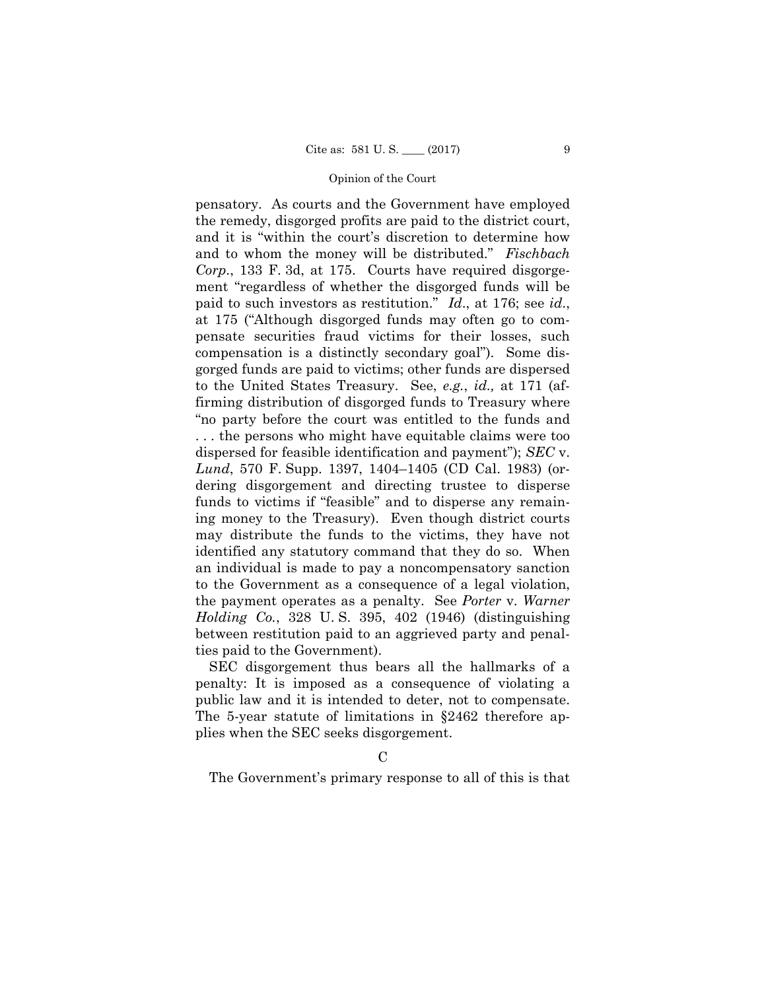pensatory. As courts and the Government have employed the remedy, disgorged profits are paid to the district court, and it is "within the court's discretion to determine how and to whom the money will be distributed." *Fischbach Corp*., 133 F. 3d, at 175. Courts have required disgorgement "regardless of whether the disgorged funds will be paid to such investors as restitution." *Id*., at 176; see *id*., at 175 ("Although disgorged funds may often go to compensate securities fraud victims for their losses, such compensation is a distinctly secondary goal"). Some disgorged funds are paid to victims; other funds are dispersed to the United States Treasury. See, *e.g.*, *id.,* at 171 (affirming distribution of disgorged funds to Treasury where "no party before the court was entitled to the funds and . . . the persons who might have equitable claims were too dispersed for feasible identification and payment"); *SEC* v. *Lund*, 570 F. Supp. 1397, 1404–1405 (CD Cal. 1983) (ordering disgorgement and directing trustee to disperse funds to victims if "feasible" and to disperse any remaining money to the Treasury). Even though district courts may distribute the funds to the victims, they have not identified any statutory command that they do so. When an individual is made to pay a noncompensatory sanction to the Government as a consequence of a legal violation, the payment operates as a penalty. See *Porter* v. *Warner Holding Co.*, 328 U. S. 395, 402 (1946) (distinguishing between restitution paid to an aggrieved party and penalties paid to the Government).

SEC disgorgement thus bears all the hallmarks of a penalty: It is imposed as a consequence of violating a public law and it is intended to deter, not to compensate. The 5-year statute of limitations in §2462 therefore applies when the SEC seeks disgorgement.

The Government's primary response to all of this is that

 $\Gamma$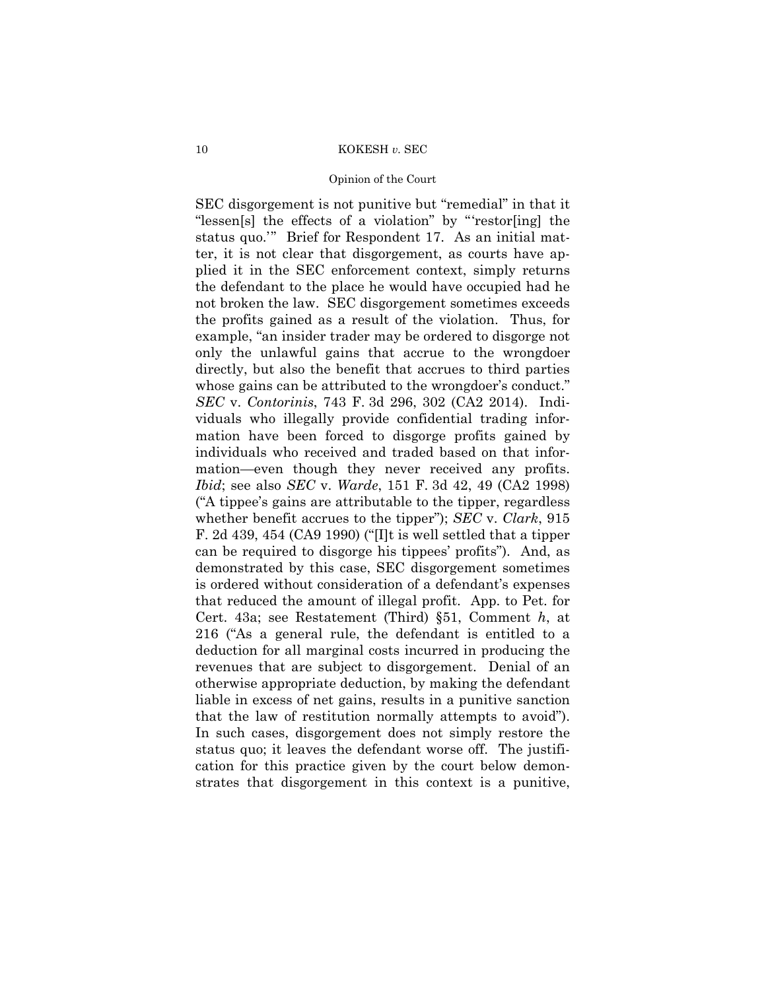#### Opinion of the Court

 mation—even though they never received any profits. SEC disgorgement is not punitive but "remedial" in that it "lessen[s] the effects of a violation" by "'restor[ing] the status quo.'" Brief for Respondent 17. As an initial matter, it is not clear that disgorgement, as courts have applied it in the SEC enforcement context, simply returns the defendant to the place he would have occupied had he not broken the law. SEC disgorgement sometimes exceeds the profits gained as a result of the violation. Thus, for example, "an insider trader may be ordered to disgorge not only the unlawful gains that accrue to the wrongdoer directly, but also the benefit that accrues to third parties whose gains can be attributed to the wrongdoer's conduct." *SEC* v. *Contorinis*, 743 F. 3d 296, 302 (CA2 2014). Individuals who illegally provide confidential trading information have been forced to disgorge profits gained by individuals who received and traded based on that infor-*Ibid*; see also *SEC* v. *Warde*, 151 F. 3d 42, 49 (CA2 1998) ("A tippee's gains are attributable to the tipper, regardless whether benefit accrues to the tipper"); *SEC* v. *Clark*, 915 F. 2d 439, 454 (CA9 1990) ("[I]t is well settled that a tipper can be required to disgorge his tippees' profits"). And, as demonstrated by this case, SEC disgorgement sometimes is ordered without consideration of a defendant's expenses that reduced the amount of illegal profit. App. to Pet. for Cert. 43a; see Restatement (Third) §51, Comment *h*, at 216 ("As a general rule, the defendant is entitled to a deduction for all marginal costs incurred in producing the revenues that are subject to disgorgement. Denial of an otherwise appropriate deduction, by making the defendant liable in excess of net gains, results in a punitive sanction that the law of restitution normally attempts to avoid"). In such cases, disgorgement does not simply restore the status quo; it leaves the defendant worse off. The justification for this practice given by the court below demonstrates that disgorgement in this context is a punitive,